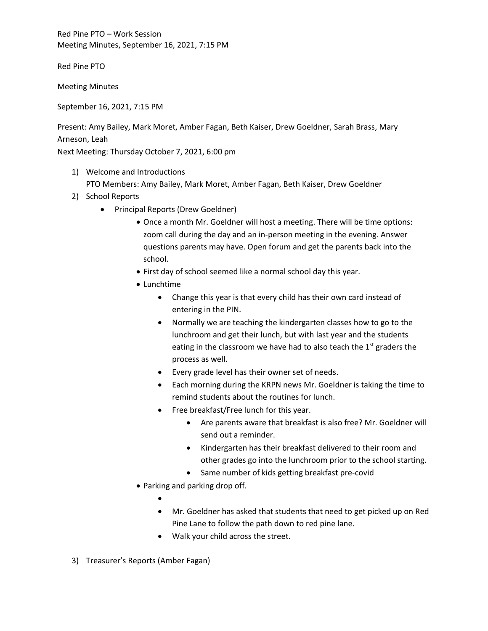Red Pine PTO – Work Session Meeting Minutes, September 16, 2021, 7:15 PM

Red Pine PTO

Meeting Minutes

September 16, 2021, 7:15 PM

Present: Amy Bailey, Mark Moret, Amber Fagan, Beth Kaiser, Drew Goeldner, Sarah Brass, Mary Arneson, Leah

Next Meeting: Thursday October 7, 2021, 6:00 pm

- 1) Welcome and Introductions PTO Members: Amy Bailey, Mark Moret, Amber Fagan, Beth Kaiser, Drew Goeldner
- 2) School Reports
	- Principal Reports (Drew Goeldner)
		- Once a month Mr. Goeldner will host a meeting. There will be time options: zoom call during the day and an in-person meeting in the evening. Answer questions parents may have. Open forum and get the parents back into the school.
		- First day of school seemed like a normal school day this year.
		- Lunchtime
			- Change this year is that every child has their own card instead of entering in the PIN.
			- Normally we are teaching the kindergarten classes how to go to the lunchroom and get their lunch, but with last year and the students eating in the classroom we have had to also teach the  $1<sup>st</sup>$  graders the process as well.
			- Every grade level has their owner set of needs.
			- Each morning during the KRPN news Mr. Goeldner is taking the time to remind students about the routines for lunch.
			- Free breakfast/Free lunch for this year.
				- Are parents aware that breakfast is also free? Mr. Goeldner will send out a reminder.
				- Kindergarten has their breakfast delivered to their room and other grades go into the lunchroom prior to the school starting.
				- Same number of kids getting breakfast pre-covid
		- Parking and parking drop off.
			- •
			- Mr. Goeldner has asked that students that need to get picked up on Red Pine Lane to follow the path down to red pine lane.
			- Walk your child across the street.
- 3) Treasurer's Reports (Amber Fagan)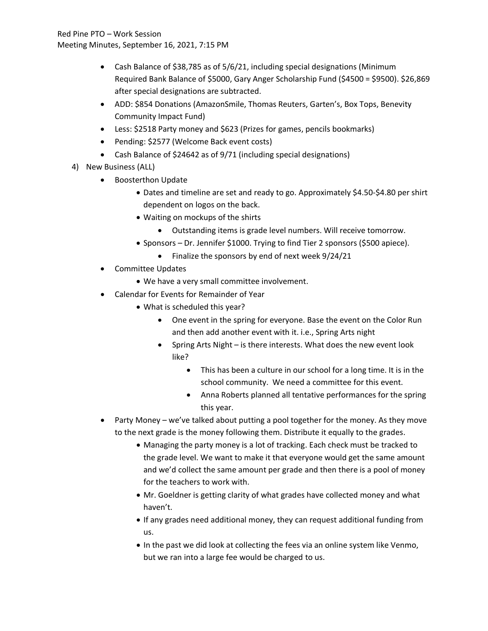Red Pine PTO – Work Session Meeting Minutes, September 16, 2021, 7:15 PM

- Cash Balance of \$38,785 as of 5/6/21, including special designations (Minimum Required Bank Balance of \$5000, Gary Anger Scholarship Fund (\$4500 = \$9500). \$26,869 after special designations are subtracted.
- ADD: \$854 Donations (AmazonSmile, Thomas Reuters, Garten's, Box Tops, Benevity Community Impact Fund)
- Less: \$2518 Party money and \$623 (Prizes for games, pencils bookmarks)
- Pending: \$2577 (Welcome Back event costs)
- Cash Balance of \$24642 as of 9/71 (including special designations)
- 4) New Business (ALL)
	- Boosterthon Update
		- Dates and timeline are set and ready to go. Approximately \$4.50-\$4.80 per shirt dependent on logos on the back.
		- Waiting on mockups of the shirts
			- Outstanding items is grade level numbers. Will receive tomorrow.
		- Sponsors Dr. Jennifer \$1000. Trying to find Tier 2 sponsors (\$500 apiece).
			- Finalize the sponsors by end of next week 9/24/21
	- Committee Updates
		- We have a very small committee involvement.
	- Calendar for Events for Remainder of Year
		- What is scheduled this year?
			- One event in the spring for everyone. Base the event on the Color Run and then add another event with it. i.e., Spring Arts night
			- Spring Arts Night is there interests. What does the new event look like?
				- This has been a culture in our school for a long time. It is in the school community. We need a committee for this event.
				- Anna Roberts planned all tentative performances for the spring this year.
	- Party Money we've talked about putting a pool together for the money. As they move to the next grade is the money following them. Distribute it equally to the grades.
		- Managing the party money is a lot of tracking. Each check must be tracked to the grade level. We want to make it that everyone would get the same amount and we'd collect the same amount per grade and then there is a pool of money for the teachers to work with.
		- Mr. Goeldner is getting clarity of what grades have collected money and what haven't.
		- If any grades need additional money, they can request additional funding from us.
		- In the past we did look at collecting the fees via an online system like Venmo, but we ran into a large fee would be charged to us.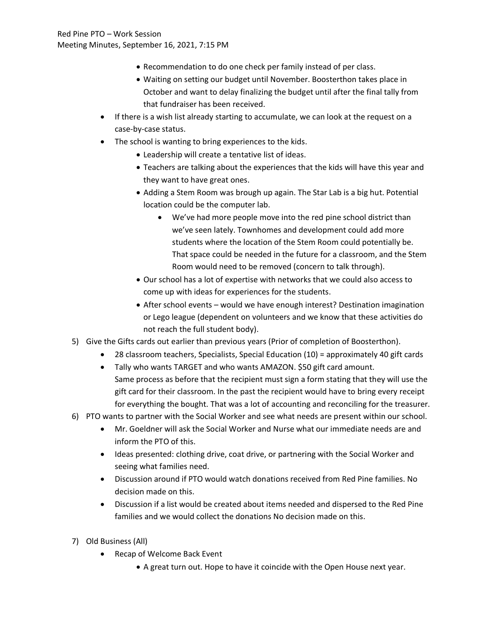- Recommendation to do one check per family instead of per class.
- Waiting on setting our budget until November. Boosterthon takes place in October and want to delay finalizing the budget until after the final tally from that fundraiser has been received.
- If there is a wish list already starting to accumulate, we can look at the request on a case-by-case status.
- The school is wanting to bring experiences to the kids.
	- Leadership will create a tentative list of ideas.
	- Teachers are talking about the experiences that the kids will have this year and they want to have great ones.
	- Adding a Stem Room was brough up again. The Star Lab is a big hut. Potential location could be the computer lab.
		- We've had more people move into the red pine school district than we've seen lately. Townhomes and development could add more students where the location of the Stem Room could potentially be. That space could be needed in the future for a classroom, and the Stem Room would need to be removed (concern to talk through).
	- Our school has a lot of expertise with networks that we could also access to come up with ideas for experiences for the students.
	- After school events would we have enough interest? Destination imagination or Lego league (dependent on volunteers and we know that these activities do not reach the full student body).
- 5) Give the Gifts cards out earlier than previous years (Prior of completion of Boosterthon).
	- 28 classroom teachers, Specialists, Special Education (10) = approximately 40 gift cards
	- Tally who wants TARGET and who wants AMAZON. \$50 gift card amount. Same process as before that the recipient must sign a form stating that they will use the gift card for their classroom. In the past the recipient would have to bring every receipt for everything the bought. That was a lot of accounting and reconciling for the treasurer.
- 6) PTO wants to partner with the Social Worker and see what needs are present within our school.
	- Mr. Goeldner will ask the Social Worker and Nurse what our immediate needs are and inform the PTO of this.
	- Ideas presented: clothing drive, coat drive, or partnering with the Social Worker and seeing what families need.
	- Discussion around if PTO would watch donations received from Red Pine families. No decision made on this.
	- Discussion if a list would be created about items needed and dispersed to the Red Pine families and we would collect the donations No decision made on this.
- 7) Old Business (All)
	- Recap of Welcome Back Event
		- A great turn out. Hope to have it coincide with the Open House next year.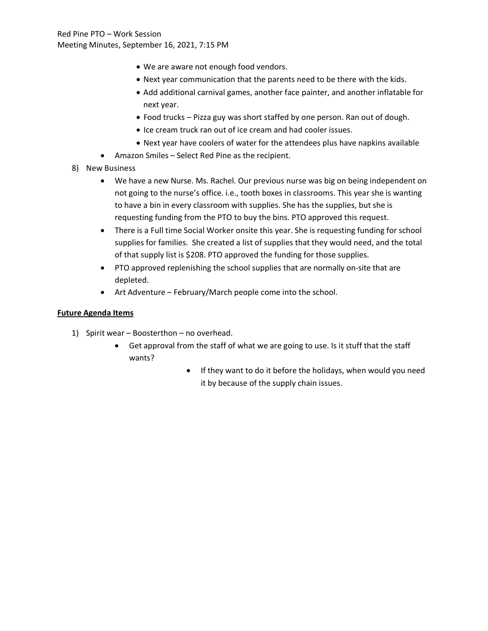- We are aware not enough food vendors.
- Next year communication that the parents need to be there with the kids.
- Add additional carnival games, another face painter, and another inflatable for next year.
- Food trucks Pizza guy was short staffed by one person. Ran out of dough.
- Ice cream truck ran out of ice cream and had cooler issues.
- Next year have coolers of water for the attendees plus have napkins available
- Amazon Smiles Select Red Pine as the recipient.
- 8) New Business
	- We have a new Nurse. Ms. Rachel. Our previous nurse was big on being independent on not going to the nurse's office. i.e., tooth boxes in classrooms. This year she is wanting to have a bin in every classroom with supplies. She has the supplies, but she is requesting funding from the PTO to buy the bins. PTO approved this request.
	- There is a Full time Social Worker onsite this year. She is requesting funding for school supplies for families. She created a list of supplies that they would need, and the total of that supply list is \$208. PTO approved the funding for those supplies.
	- PTO approved replenishing the school supplies that are normally on-site that are depleted.
	- Art Adventure February/March people come into the school.

# **Future Agenda Items**

- 1) Spirit wear Boosterthon no overhead.
	- Get approval from the staff of what we are going to use. Is it stuff that the staff wants?
		- If they want to do it before the holidays, when would you need it by because of the supply chain issues.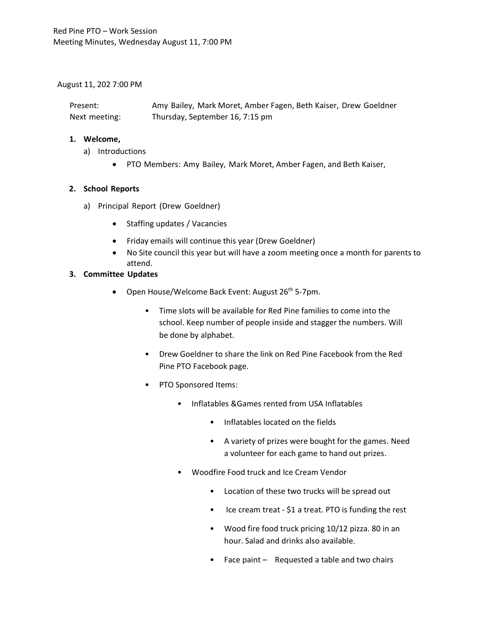### August 11, 202 7:00 PM

| Present:      | Amy Bailey, Mark Moret, Amber Fagen, Beth Kaiser, Drew Goeldner |
|---------------|-----------------------------------------------------------------|
| Next meeting: | Thursday, September 16, 7:15 pm                                 |

#### **1. Welcome,**

- a) Introductions
	- PTO Members: Amy Bailey, Mark Moret, Amber Fagen, and Beth Kaiser,

## **2. School Reports**

- a) Principal Report (Drew Goeldner)
	- Staffing updates / Vacancies
	- Friday emails will continue this year (Drew Goeldner)
	- No Site council this year but will have a zoom meeting once a month for parents to attend.

## **3. Committee Updates**

- Open House/Welcome Back Event: August  $26<sup>th</sup>$  5-7pm.
	- Time slots will be available for Red Pine families to come into the school. Keep number of people inside and stagger the numbers. Will be done by alphabet.
	- Drew Goeldner to share the link on Red Pine Facebook from the Red Pine PTO Facebook page.
	- PTO Sponsored Items:
		- Inflatables &Games rented from USA Inflatables
			- Inflatables located on the fields
			- A variety of prizes were bought for the games. Need a volunteer for each game to hand out prizes.
		- Woodfire Food truck and Ice Cream Vendor
			- Location of these two trucks will be spread out
			- Ice cream treat \$1 a treat. PTO is funding the rest
			- Wood fire food truck pricing 10/12 pizza. 80 in an hour. Salad and drinks also available.
			- Face paint Requested a table and two chairs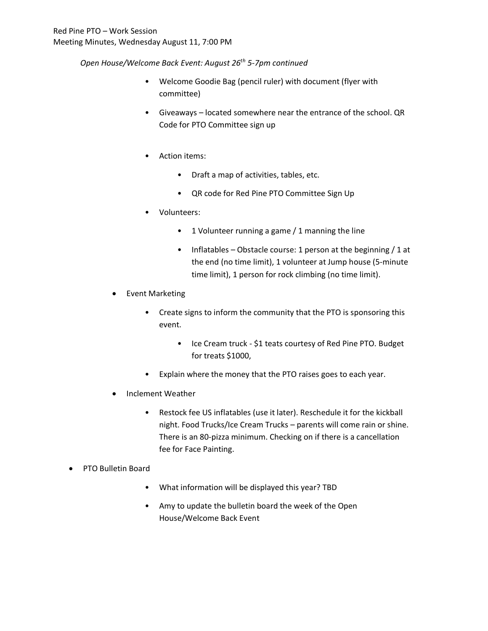*Open House/Welcome Back Event: August 26th 5-7pm continued*

- Welcome Goodie Bag (pencil ruler) with document (flyer with committee)
- Giveaways located somewhere near the entrance of the school. QR Code for PTO Committee sign up
- Action items:
	- Draft a map of activities, tables, etc.
	- QR code for Red Pine PTO Committee Sign Up
- Volunteers:
	- 1 Volunteer running a game / 1 manning the line
	- Inflatables Obstacle course: 1 person at the beginning / 1 at the end (no time limit), 1 volunteer at Jump house (5-minute time limit), 1 person for rock climbing (no time limit).
- Event Marketing
	- Create signs to inform the community that the PTO is sponsoring this event.
		- Ice Cream truck \$1 teats courtesy of Red Pine PTO. Budget for treats \$1000,
	- Explain where the money that the PTO raises goes to each year.
- Inclement Weather
	- Restock fee US inflatables (use it later). Reschedule it for the kickball night. Food Trucks/Ice Cream Trucks – parents will come rain or shine. There is an 80-pizza minimum. Checking on if there is a cancellation fee for Face Painting.
- PTO Bulletin Board
	- What information will be displayed this year? TBD
	- Amy to update the bulletin board the week of the Open House/Welcome Back Event